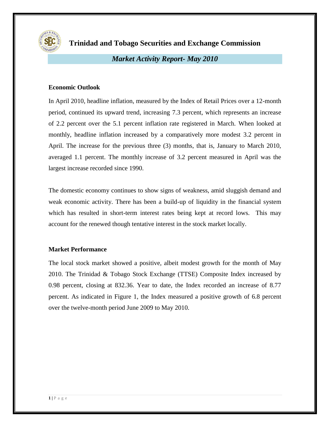

**Trinidad and Tobago Securities and Exchange Commission**

# *Market Activity Report- May 2010*

# **Economic Outlook**

In April 2010, headline inflation, measured by the Index of Retail Prices over a 12-month period, continued its upward trend, increasing 7.3 percent, which represents an increase of 2.2 percent over the 5.1 percent inflation rate registered in March. When looked at monthly, headline inflation increased by a comparatively more modest 3.2 percent in April. The increase for the previous three (3) months, that is, January to March 2010, averaged 1.1 percent. The monthly increase of 3.2 percent measured in April was the largest increase recorded since 1990.

The domestic economy continues to show signs of weakness, amid sluggish demand and weak economic activity. There has been a build-up of liquidity in the financial system which has resulted in short-term interest rates being kept at record lows. This may account for the renewed though tentative interest in the stock market locally.

## **Market Performance**

The local stock market showed a positive, albeit modest growth for the month of May 2010. The Trinidad & Tobago Stock Exchange (TTSE) Composite Index increased by 0.98 percent, closing at 832.36. Year to date, the Index recorded an increase of 8.77 percent. As indicated in Figure 1, the Index measured a positive growth of 6.8 percent over the twelve-month period June 2009 to May 2010.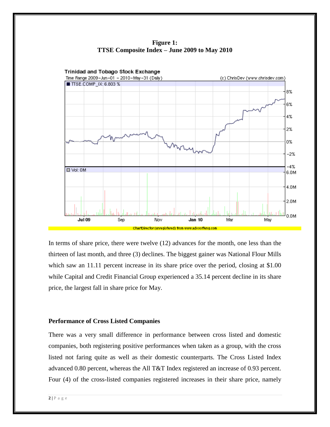**Figure 1: TTSE Composite Index – June 2009 to May 2010**



In terms of share price, there were twelve (12) advances for the month, one less than the thirteen of last month, and three (3) declines. The biggest gainer was National Flour Mills which saw an 11.11 percent increase in its share price over the period, closing at \$1.00 while Capital and Credit Financial Group experienced a 35.14 percent decline in its share price, the largest fall in share price for May.

#### **Performance of Cross Listed Companies**

There was a very small difference in performance between cross listed and domestic companies, both registering positive performances when taken as a group, with the cross listed not faring quite as well as their domestic counterparts. The Cross Listed Index advanced 0.80 percent, whereas the All T&T Index registered an increase of 0.93 percent. Four (4) of the cross-listed companies registered increases in their share price, namely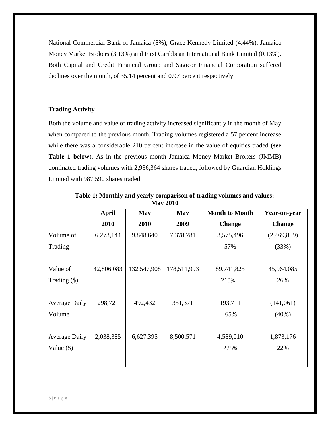National Commercial Bank of Jamaica (8%), Grace Kennedy Limited (4.44%), Jamaica Money Market Brokers (3.13%) and First Caribbean International Bank Limited (0.13%). Both Capital and Credit Financial Group and Sagicor Financial Corporation suffered declines over the month, of 35.14 percent and 0.97 percent respectively.

## **Trading Activity**

Both the volume and value of trading activity increased significantly in the month of May when compared to the previous month. Trading volumes registered a 57 percent increase while there was a considerable 210 percent increase in the value of equities traded (**see Table 1 below**). As in the previous month Jamaica Money Market Brokers (JMMB) dominated trading volumes with 2,936,364 shares traded, followed by Guardian Holdings Limited with 987,590 shares traded.

|                      | <b>April</b> | <b>May</b>  | <b>May</b>  | <b>Month to Month</b> | Year-on-year  |
|----------------------|--------------|-------------|-------------|-----------------------|---------------|
|                      | 2010         | 2010        | 2009        | <b>Change</b>         | <b>Change</b> |
| Volume of            | 6,273,144    | 9,848,640   | 7,378,781   | 3,575,496             | (2,469,859)   |
| Trading              |              |             |             | 57%                   | (33%)         |
|                      |              |             |             |                       |               |
| Value of             | 42,806,083   | 132,547,908 | 178,511,993 | 89,741,825            | 45,964,085    |
| Trading (\$)         |              |             |             | 210%                  | 26%           |
|                      |              |             |             |                       |               |
| <b>Average Daily</b> | 298,721      | 492,432     | 351,371     | 193,711               | (141,061)     |
| Volume               |              |             |             | 65%                   | $(40\%)$      |
|                      |              |             |             |                       |               |
| <b>Average Daily</b> | 2,038,385    | 6,627,395   | 8,500,571   | 4,589,010             | 1,873,176     |
| Value $(\$)$         |              |             |             | 225%                  | 22%           |
|                      |              |             |             |                       |               |

**Table 1: Monthly and yearly comparison of trading volumes and values: May 2010**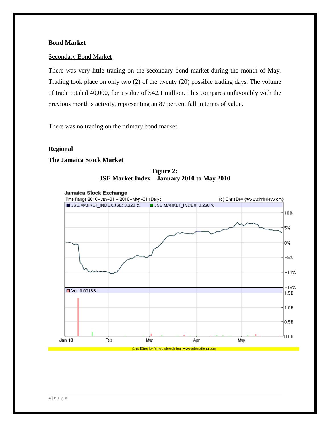#### **Bond Market**

#### Secondary Bond Market

There was very little trading on the secondary bond market during the month of May. Trading took place on only two (2) of the twenty (20) possible trading days. The volume of trade totaled 40,000, for a value of \$42.1 million. This compares unfavorably with the previous month's activity, representing an 87 percent fall in terms of value.

There was no trading on the primary bond market.

### **Regional**

### **The Jamaica Stock Market**



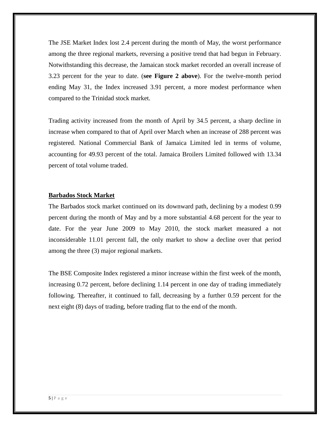The JSE Market Index lost 2.4 percent during the month of May, the worst performance among the three regional markets, reversing a positive trend that had begun in February. Notwithstanding this decrease, the Jamaican stock market recorded an overall increase of 3.23 percent for the year to date. (**see Figure 2 above**). For the twelve-month period ending May 31, the Index increased 3.91 percent, a more modest performance when compared to the Trinidad stock market.

Trading activity increased from the month of April by 34.5 percent, a sharp decline in increase when compared to that of April over March when an increase of 288 percent was registered. National Commercial Bank of Jamaica Limited led in terms of volume, accounting for 49.93 percent of the total. Jamaica Broilers Limited followed with 13.34 percent of total volume traded.

#### **Barbados Stock Market**

The Barbados stock market continued on its downward path, declining by a modest 0.99 percent during the month of May and by a more substantial 4.68 percent for the year to date. For the year June 2009 to May 2010, the stock market measured a not inconsiderable 11.01 percent fall, the only market to show a decline over that period among the three (3) major regional markets.

The BSE Composite Index registered a minor increase within the first week of the month, increasing 0.72 percent, before declining 1.14 percent in one day of trading immediately following. Thereafter, it continued to fall, decreasing by a further 0.59 percent for the next eight (8) days of trading, before trading flat to the end of the month.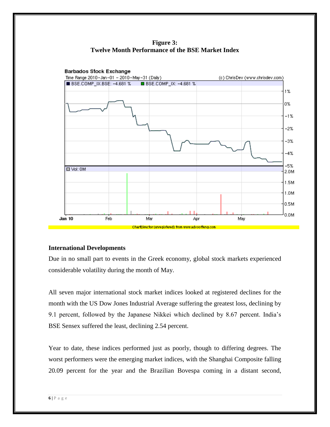**Figure 3: Twelve Month Performance of the BSE Market Index**



### **International Developments**

Due in no small part to events in the Greek economy, global stock markets experienced considerable volatility during the month of May.

All seven major international stock market indices looked at registered declines for the month with the US Dow Jones Industrial Average suffering the greatest loss, declining by 9.1 percent, followed by the Japanese Nikkei which declined by 8.67 percent. India's BSE Sensex suffered the least, declining 2.54 percent.

Year to date, these indices performed just as poorly, though to differing degrees. The worst performers were the emerging market indices, with the Shanghai Composite falling 20.09 percent for the year and the Brazilian Bovespa coming in a distant second,